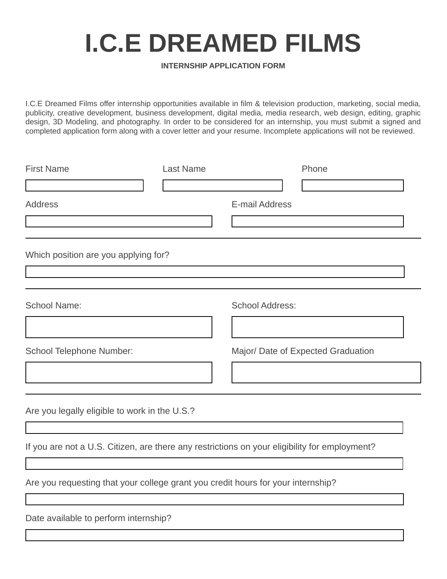## **I.C.E DREAMED FILMS**

## **INTERNSHIP APPLICATION FORM**

I.C.E Dreamed Films offer internship opportunities available in film & television production, marketing, social media, publicity, creative development, business development, digital media, media research, web design, editing, graphic design, 3D Modeling, and photography. In order to be considered for an internship, you must submit a signed and completed application form along with a cover letter and your resume. Incomplete applications will not be reviewed.

| <b>First Name</b>                                                                | <b>Last Name</b> | Phone                                                                                         |
|----------------------------------------------------------------------------------|------------------|-----------------------------------------------------------------------------------------------|
|                                                                                  |                  |                                                                                               |
| <b>Address</b>                                                                   |                  | <b>E-mail Address</b>                                                                         |
|                                                                                  |                  |                                                                                               |
| Which position are you applying for?                                             |                  |                                                                                               |
|                                                                                  |                  |                                                                                               |
| <b>School Name:</b>                                                              |                  | <b>School Address:</b>                                                                        |
|                                                                                  |                  |                                                                                               |
| School Telephone Number:                                                         |                  | Major/ Date of Expected Graduation                                                            |
|                                                                                  |                  |                                                                                               |
| Are you legally eligible to work in the U.S.?                                    |                  |                                                                                               |
|                                                                                  |                  | If you are not a U.S. Citizen, are there any restrictions on your eligibility for employment? |
| Are you requesting that your college grant you credit hours for your internship? |                  |                                                                                               |
| Date available to perform internship?                                            |                  |                                                                                               |